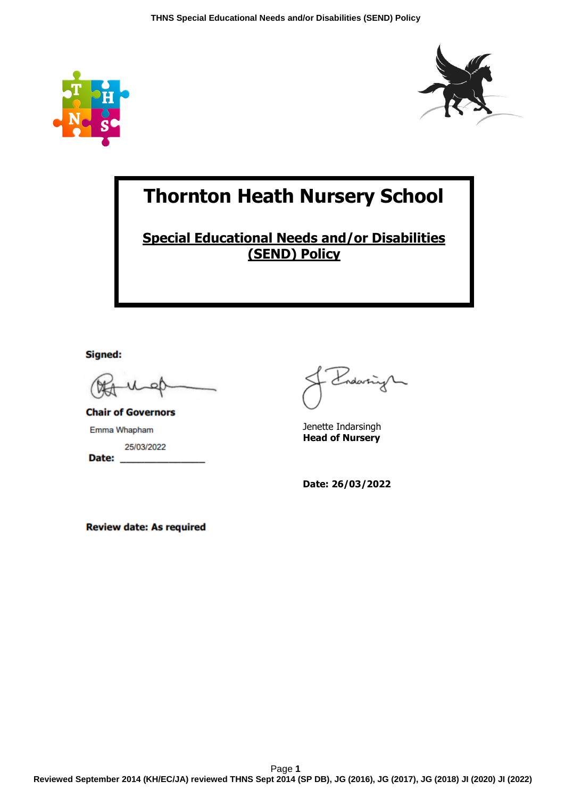



# **Thornton Heath Nursery School**

**Special Educational Needs and/or Disabilities (SEND) Policy** 

Signed:

**Chair of Governors Emma Whapham** *Denette Indarsingh*  **Head of Nursery** Date:

 **Date: 26/03/2022**

**Review date: As required**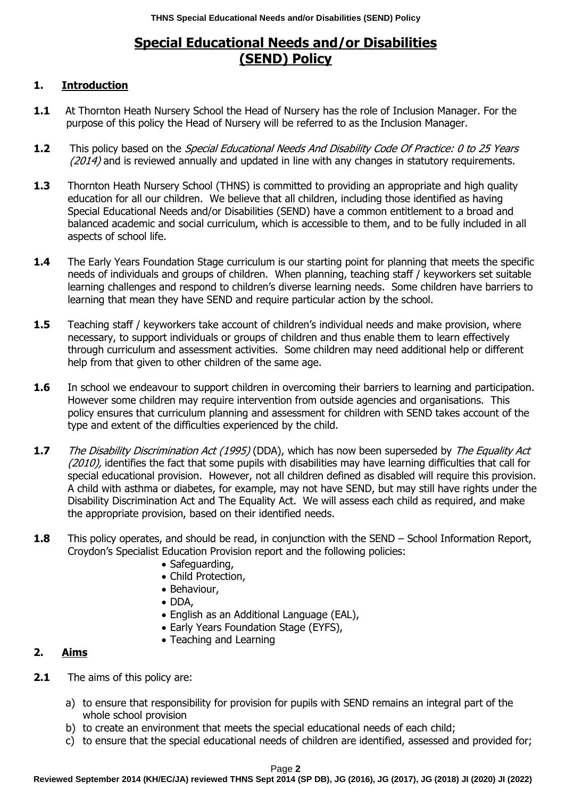#### **1. Introduction**

- **1.1** At Thornton Heath Nursery School the Head of Nursery has the role of Inclusion Manager. For the purpose of this policy the Head of Nursery will be referred to as the Inclusion Manager.
- **1.2** This policy based on the *Special Educational Needs And Disability Code Of Practice: 0 to 25 Years* (2014) and is reviewed annually and updated in line with any changes in statutory requirements.
- **1.3** Thornton Heath Nursery School (THNS) is committed to providing an appropriate and high quality education for all our children. We believe that all children, including those identified as having Special Educational Needs and/or Disabilities (SEND) have a common entitlement to a broad and balanced academic and social curriculum, which is accessible to them, and to be fully included in all aspects of school life.
- **1.4** The Early Years Foundation Stage curriculum is our starting point for planning that meets the specific needs of individuals and groups of children. When planning, teaching staff / keyworkers set suitable learning challenges and respond to children's diverse learning needs. Some children have barriers to learning that mean they have SEND and require particular action by the school.
- **1.5** Teaching staff / keyworkers take account of children's individual needs and make provision, where necessary, to support individuals or groups of children and thus enable them to learn effectively through curriculum and assessment activities. Some children may need additional help or different help from that given to other children of the same age.
- **1.6** In school we endeavour to support children in overcoming their barriers to learning and participation. However some children may require intervention from outside agencies and organisations. This policy ensures that curriculum planning and assessment for children with SEND takes account of the type and extent of the difficulties experienced by the child.
- **1.7** The Disability Discrimination Act (1995) (DDA), which has now been superseded by The Equality Act (2010), identifies the fact that some pupils with disabilities may have learning difficulties that call for special educational provision. However, not all children defined as disabled will require this provision. A child with asthma or diabetes, for example, may not have SEND, but may still have rights under the Disability Discrimination Act and The Equality Act. We will assess each child as required, and make the appropriate provision, based on their identified needs.
- **1.8** This policy operates, and should be read, in conjunction with the SEND School Information Report, Croydon's Specialist Education Provision report and the following policies:
	- Safeguarding,
	- Child Protection,
	- Behaviour,
	- DDA,
	- English as an Additional Language (EAL),
	- Early Years Foundation Stage (EYFS),
	- Teaching and Learning

## **2. Aims**

- **2.1** The aims of this policy are:
	- a) to ensure that responsibility for provision for pupils with SEND remains an integral part of the whole school provision
	- b) to create an environment that meets the special educational needs of each child;
	- c) to ensure that the special educational needs of children are identified, assessed and provided for;

#### Page **2**

**Reviewed September 2014 (KH/EC/JA) reviewed THNS Sept 2014 (SP DB), JG (2016), JG (2017), JG (2018) JI (2020) JI (2022)**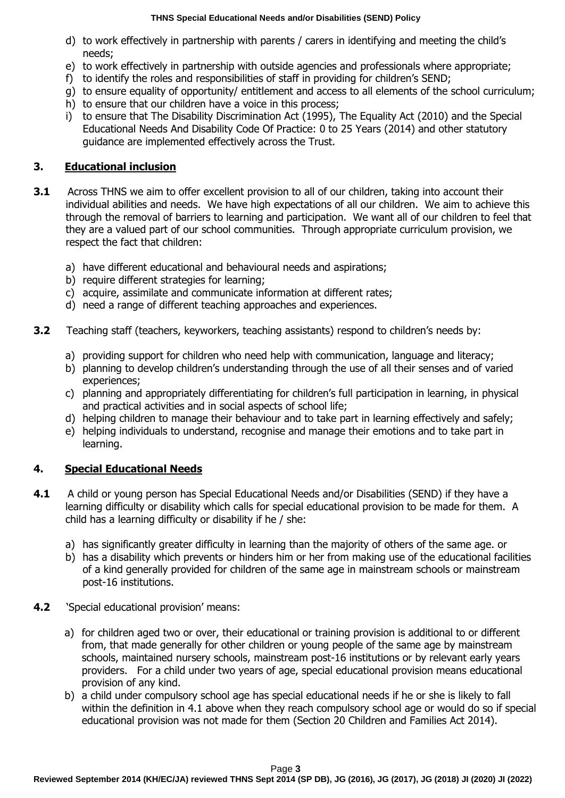- d) to work effectively in partnership with parents / carers in identifying and meeting the child's needs;
- e) to work effectively in partnership with outside agencies and professionals where appropriate;
- f) to identify the roles and responsibilities of staff in providing for children's SEND;
- g) to ensure equality of opportunity/ entitlement and access to all elements of the school curriculum;
- h) to ensure that our children have a voice in this process;
- i) to ensure that The Disability Discrimination Act (1995), The Equality Act (2010) and the Special Educational Needs And Disability Code Of Practice: 0 to 25 Years (2014) and other statutory guidance are implemented effectively across the Trust.

#### **3. Educational inclusion**

- **3.1** Across THNS we aim to offer excellent provision to all of our children, taking into account their individual abilities and needs. We have high expectations of all our children. We aim to achieve this through the removal of barriers to learning and participation. We want all of our children to feel that they are a valued part of our school communities. Through appropriate curriculum provision, we respect the fact that children:
	- a) have different educational and behavioural needs and aspirations;
	- b) require different strategies for learning;
	- c) acquire, assimilate and communicate information at different rates;
	- d) need a range of different teaching approaches and experiences.
- **3.2** Teaching staff (teachers, keyworkers, teaching assistants) respond to children's needs by:
	- a) providing support for children who need help with communication, language and literacy;
	- b) planning to develop children's understanding through the use of all their senses and of varied experiences;
	- c) planning and appropriately differentiating for children's full participation in learning, in physical and practical activities and in social aspects of school life;
	- d) helping children to manage their behaviour and to take part in learning effectively and safely;
	- e) helping individuals to understand, recognise and manage their emotions and to take part in learning.

#### **4. Special Educational Needs**

- **4.1** A child or young person has Special Educational Needs and/or Disabilities (SEND) if they have a learning difficulty or disability which calls for special educational provision to be made for them. A child has a learning difficulty or disability if he / she:
	- a) has significantly greater difficulty in learning than the majority of others of the same age. or
	- b) has a disability which prevents or hinders him or her from making use of the educational facilities of a kind generally provided for children of the same age in mainstream schools or mainstream post-16 institutions.
- **4.2** 'Special educational provision' means:
	- a) for children aged two or over, their educational or training provision is additional to or different from, that made generally for other children or young people of the same age by mainstream schools, maintained nursery schools, mainstream post-16 institutions or by relevant early years providers. For a child under two years of age, special educational provision means educational provision of any kind.
	- b) a child under compulsory school age has special educational needs if he or she is likely to fall within the definition in 4.1 above when they reach compulsory school age or would do so if special educational provision was not made for them (Section 20 Children and Families Act 2014).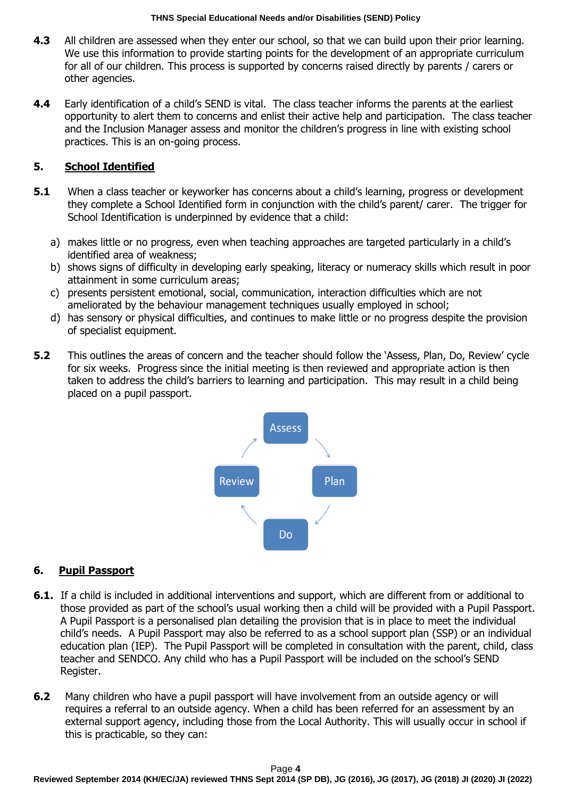- **4.3** All children are assessed when they enter our school, so that we can build upon their prior learning. We use this information to provide starting points for the development of an appropriate curriculum for all of our children. This process is supported by concerns raised directly by parents / carers or other agencies.
- **4.4** Early identification of a child's SEND is vital. The class teacher informs the parents at the earliest opportunity to alert them to concerns and enlist their active help and participation. The class teacher and the Inclusion Manager assess and monitor the children's progress in line with existing school practices. This is an on-going process.

#### **5. School Identified**

- **5.1** When a class teacher or keyworker has concerns about a child's learning, progress or development they complete a School Identified form in conjunction with the child's parent/ carer. The trigger for School Identification is underpinned by evidence that a child:
	- a) makes little or no progress, even when teaching approaches are targeted particularly in a child's identified area of weakness;
	- b) shows signs of difficulty in developing early speaking, literacy or numeracy skills which result in poor attainment in some curriculum areas;
	- c) presents persistent emotional, social, communication, interaction difficulties which are not ameliorated by the behaviour management techniques usually employed in school;
	- d) has sensory or physical difficulties, and continues to make little or no progress despite the provision of specialist equipment.
- **5.2** This outlines the areas of concern and the teacher should follow the 'Assess, Plan, Do, Review' cycle for six weeks. Progress since the initial meeting is then reviewed and appropriate action is then taken to address the child's barriers to learning and participation. This may result in a child being placed on a pupil passport.



## **6. Pupil Passport**

- **6.1.** If a child is included in additional interventions and support, which are different from or additional to those provided as part of the school's usual working then a child will be provided with a Pupil Passport. A Pupil Passport is a personalised plan detailing the provision that is in place to meet the individual child's needs. A Pupil Passport may also be referred to as a school support plan (SSP) or an individual education plan (IEP). The Pupil Passport will be completed in consultation with the parent, child, class teacher and SENDCO. Any child who has a Pupil Passport will be included on the school's SEND Register.
- **6.2** Many children who have a pupil passport will have involvement from an outside agency or will requires a referral to an outside agency. When a child has been referred for an assessment by an external support agency, including those from the Local Authority. This will usually occur in school if this is practicable, so they can: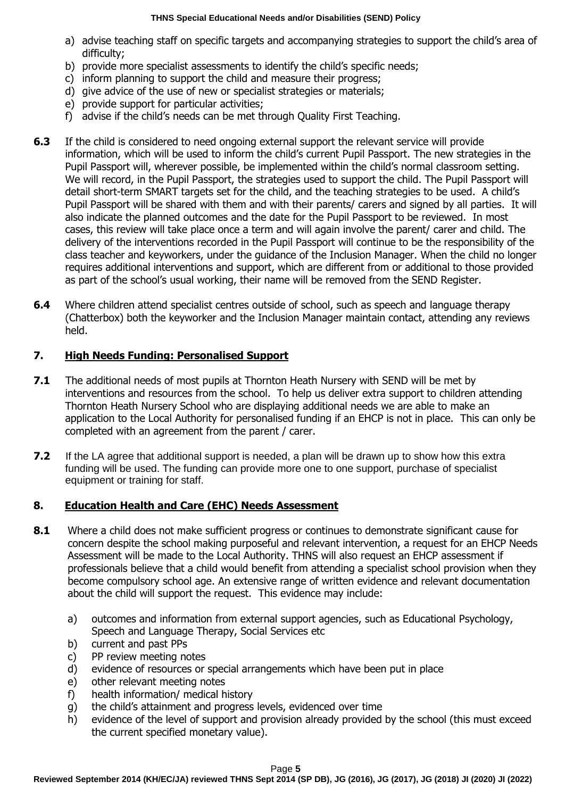- a) advise teaching staff on specific targets and accompanying strategies to support the child's area of difficulty;
- b) provide more specialist assessments to identify the child's specific needs;
- c) inform planning to support the child and measure their progress;
- d) give advice of the use of new or specialist strategies or materials;
- e) provide support for particular activities;
- f) advise if the child's needs can be met through Quality First Teaching.
- **6.3** If the child is considered to need ongoing external support the relevant service will provide information, which will be used to inform the child's current Pupil Passport. The new strategies in the Pupil Passport will, wherever possible, be implemented within the child's normal classroom setting. We will record, in the Pupil Passport, the strategies used to support the child. The Pupil Passport will detail short-term SMART targets set for the child, and the teaching strategies to be used. A child's Pupil Passport will be shared with them and with their parents/ carers and signed by all parties. It will also indicate the planned outcomes and the date for the Pupil Passport to be reviewed. In most cases, this review will take place once a term and will again involve the parent/ carer and child. The delivery of the interventions recorded in the Pupil Passport will continue to be the responsibility of the class teacher and keyworkers, under the guidance of the Inclusion Manager. When the child no longer requires additional interventions and support, which are different from or additional to those provided as part of the school's usual working, their name will be removed from the SEND Register.
- **6.4** Where children attend specialist centres outside of school, such as speech and language therapy (Chatterbox) both the keyworker and the Inclusion Manager maintain contact, attending any reviews held.

#### **7. High Needs Funding: Personalised Support**

- **7.1** The additional needs of most pupils at Thornton Heath Nursery with SEND will be met by interventions and resources from the school. To help us deliver extra support to children attending Thornton Heath Nursery School who are displaying additional needs we are able to make an application to the Local Authority for personalised funding if an EHCP is not in place. This can only be completed with an agreement from the parent / carer.
- **7.2** If the LA agree that additional support is needed, a plan will be drawn up to show how this extra funding will be used. The funding can provide more one to one support, purchase of specialist equipment or training for staff.

#### **8. Education Health and Care (EHC) Needs Assessment**

- **8.1** Where a child does not make sufficient progress or continues to demonstrate significant cause for concern despite the school making purposeful and relevant intervention, a request for an EHCP Needs Assessment will be made to the Local Authority. THNS will also request an EHCP assessment if professionals believe that a child would benefit from attending a specialist school provision when they become compulsory school age. An extensive range of written evidence and relevant documentation about the child will support the request. This evidence may include:
	- a) outcomes and information from external support agencies, such as Educational Psychology, Speech and Language Therapy, Social Services etc
	- b) current and past PPs
	- c) PP review meeting notes
	- d) evidence of resources or special arrangements which have been put in place
	- e) other relevant meeting notes
	- f) health information/ medical history
	- g) the child's attainment and progress levels, evidenced over time
	- h) evidence of the level of support and provision already provided by the school (this must exceed the current specified monetary value).

#### Page **5**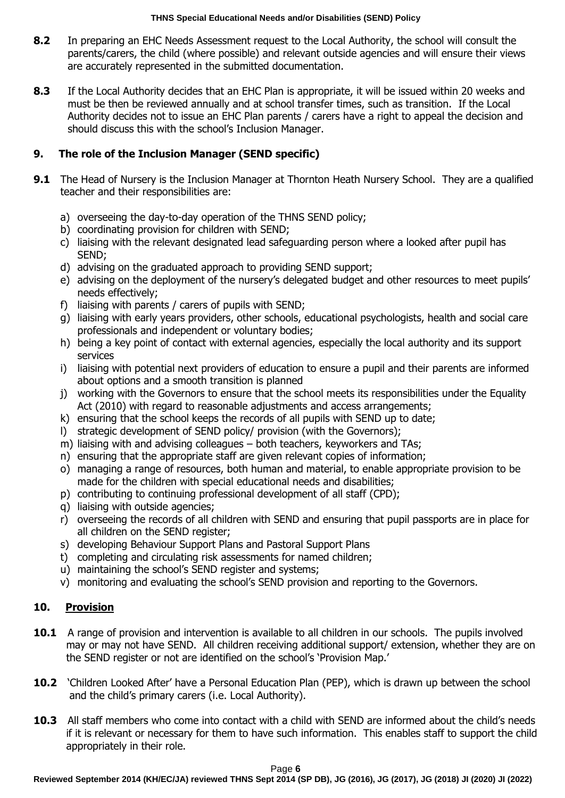- **8.2** In preparing an EHC Needs Assessment request to the Local Authority, the school will consult the parents/carers, the child (where possible) and relevant outside agencies and will ensure their views are accurately represented in the submitted documentation.
- **8.3** If the Local Authority decides that an EHC Plan is appropriate, it will be issued within 20 weeks and must be then be reviewed annually and at school transfer times, such as transition. If the Local Authority decides not to issue an EHC Plan parents / carers have a right to appeal the decision and should discuss this with the school's Inclusion Manager.

#### **9. The role of the Inclusion Manager (SEND specific)**

- **9.1** The Head of Nursery is the Inclusion Manager at Thornton Heath Nursery School. They are a qualified teacher and their responsibilities are:
	- a) overseeing the day-to-day operation of the THNS SEND policy;
	- b) coordinating provision for children with SEND;
	- c) liaising with the relevant designated lead safeguarding person where a looked after pupil has SEND;
	- d) advising on the graduated approach to providing SEND support;
	- e) advising on the deployment of the nursery's delegated budget and other resources to meet pupils' needs effectively;
	- f) liaising with parents / carers of pupils with SEND;
	- g) liaising with early years providers, other schools, educational psychologists, health and social care professionals and independent or voluntary bodies;
	- h) being a key point of contact with external agencies, especially the local authority and its support services
	- i) liaising with potential next providers of education to ensure a pupil and their parents are informed about options and a smooth transition is planned
	- j) working with the Governors to ensure that the school meets its responsibilities under the Equality Act (2010) with regard to reasonable adjustments and access arrangements;
	- k) ensuring that the school keeps the records of all pupils with SEND up to date;
	- l) strategic development of SEND policy/ provision (with the Governors);
	- m) liaising with and advising colleagues both teachers, keyworkers and TAs;
	- n) ensuring that the appropriate staff are given relevant copies of information;
	- o) managing a range of resources, both human and material, to enable appropriate provision to be made for the children with special educational needs and disabilities;
	- p) contributing to continuing professional development of all staff (CPD);
	- q) liaising with outside agencies;
	- r) overseeing the records of all children with SEND and ensuring that pupil passports are in place for all children on the SEND register;
	- s) developing Behaviour Support Plans and Pastoral Support Plans
	- t) completing and circulating risk assessments for named children;
	- u) maintaining the school's SEND register and systems;
	- v) monitoring and evaluating the school's SEND provision and reporting to the Governors.

#### **10. Provision**

- **10.1** A range of provision and intervention is available to all children in our schools. The pupils involved may or may not have SEND. All children receiving additional support/ extension, whether they are on the SEND register or not are identified on the school's 'Provision Map.'
- **10.2** 'Children Looked After' have a Personal Education Plan (PEP), which is drawn up between the school and the child's primary carers (i.e. Local Authority).
- **10.3** All staff members who come into contact with a child with SEND are informed about the child's needs if it is relevant or necessary for them to have such information. This enables staff to support the child appropriately in their role.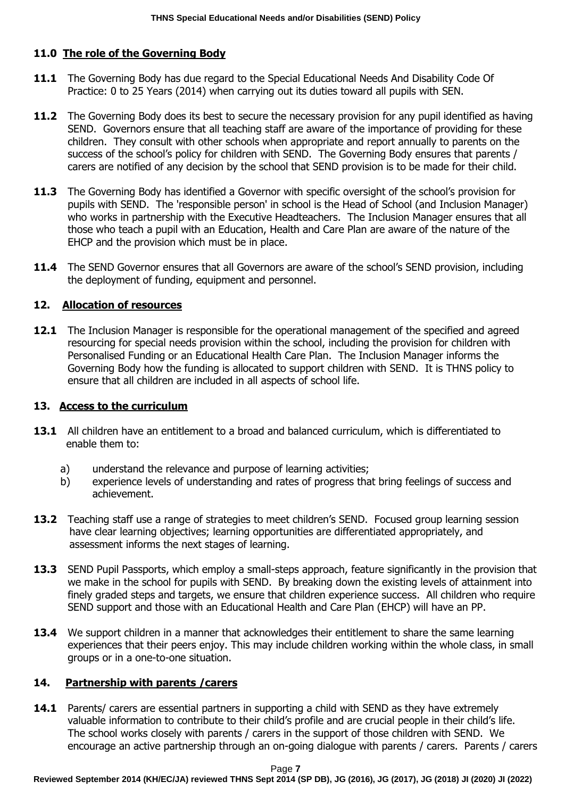#### **11.0 The role of the Governing Body**

- 11.1 The Governing Body has due regard to the Special Educational Needs And Disability Code Of Practice: 0 to 25 Years (2014) when carrying out its duties toward all pupils with SEN.
- **11.2** The Governing Body does its best to secure the necessary provision for any pupil identified as having SEND. Governors ensure that all teaching staff are aware of the importance of providing for these children. They consult with other schools when appropriate and report annually to parents on the success of the school's policy for children with SEND. The Governing Body ensures that parents / carers are notified of any decision by the school that SEND provision is to be made for their child.
- **11.3** The Governing Body has identified a Governor with specific oversight of the school's provision for pupils with SEND. The 'responsible person' in school is the Head of School (and Inclusion Manager) who works in partnership with the Executive Headteachers. The Inclusion Manager ensures that all those who teach a pupil with an Education, Health and Care Plan are aware of the nature of the EHCP and the provision which must be in place.
- **11.4** The SEND Governor ensures that all Governors are aware of the school's SEND provision, including the deployment of funding, equipment and personnel.

#### **12. Allocation of resources**

**12.1** The Inclusion Manager is responsible for the operational management of the specified and agreed resourcing for special needs provision within the school, including the provision for children with Personalised Funding or an Educational Health Care Plan. The Inclusion Manager informs the Governing Body how the funding is allocated to support children with SEND. It is THNS policy to ensure that all children are included in all aspects of school life.

#### **13. Access to the curriculum**

- **13.1** All children have an entitlement to a broad and balanced curriculum, which is differentiated to enable them to:
	- a) understand the relevance and purpose of learning activities;
	- b) experience levels of understanding and rates of progress that bring feelings of success and achievement.
- **13.2** Teaching staff use a range of strategies to meet children's SEND. Focused group learning session have clear learning objectives; learning opportunities are differentiated appropriately, and assessment informs the next stages of learning.
- **13.3** SEND Pupil Passports, which employ a small-steps approach, feature significantly in the provision that we make in the school for pupils with SEND. By breaking down the existing levels of attainment into finely graded steps and targets, we ensure that children experience success. All children who require SEND support and those with an Educational Health and Care Plan (EHCP) will have an PP.
- **13.4** We support children in a manner that acknowledges their entitlement to share the same learning experiences that their peers enjoy. This may include children working within the whole class, in small groups or in a one-to-one situation.

#### **14. Partnership with parents /carers**

**14.1** Parents/ carers are essential partners in supporting a child with SEND as they have extremely valuable information to contribute to their child's profile and are crucial people in their child's life. The school works closely with parents / carers in the support of those children with SEND. We encourage an active partnership through an on-going dialogue with parents / carers. Parents / carers

#### Page **7**

**Reviewed September 2014 (KH/EC/JA) reviewed THNS Sept 2014 (SP DB), JG (2016), JG (2017), JG (2018) JI (2020) JI (2022)**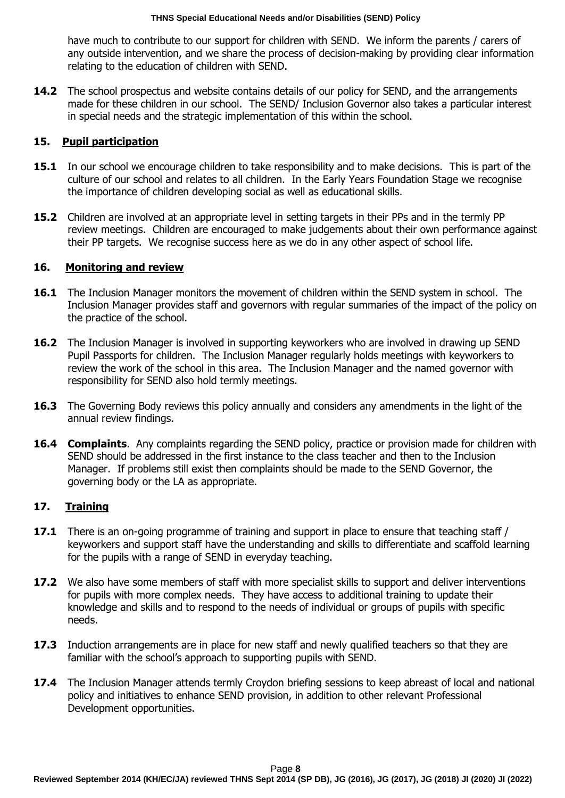have much to contribute to our support for children with SEND. We inform the parents / carers of any outside intervention, and we share the process of decision-making by providing clear information relating to the education of children with SEND.

**14.2** The school prospectus and website contains details of our policy for SEND, and the arrangements made for these children in our school. The SEND/ Inclusion Governor also takes a particular interest in special needs and the strategic implementation of this within the school.

#### **15. Pupil participation**

- **15.1** In our school we encourage children to take responsibility and to make decisions. This is part of the culture of our school and relates to all children. In the Early Years Foundation Stage we recognise the importance of children developing social as well as educational skills.
- **15.2** Children are involved at an appropriate level in setting targets in their PPs and in the termly PP review meetings. Children are encouraged to make judgements about their own performance against their PP targets. We recognise success here as we do in any other aspect of school life.

#### **16. Monitoring and review**

- **16.1** The Inclusion Manager monitors the movement of children within the SEND system in school. The Inclusion Manager provides staff and governors with regular summaries of the impact of the policy on the practice of the school.
- **16.2** The Inclusion Manager is involved in supporting keyworkers who are involved in drawing up SEND Pupil Passports for children. The Inclusion Manager regularly holds meetings with keyworkers to review the work of the school in this area. The Inclusion Manager and the named governor with responsibility for SEND also hold termly meetings.
- **16.3** The Governing Body reviews this policy annually and considers any amendments in the light of the annual review findings.
- **16.4 Complaints**. Any complaints regarding the SEND policy, practice or provision made for children with SEND should be addressed in the first instance to the class teacher and then to the Inclusion Manager. If problems still exist then complaints should be made to the SEND Governor, the governing body or the LA as appropriate.

#### **17. Training**

- **17.1** There is an on-going programme of training and support in place to ensure that teaching staff / keyworkers and support staff have the understanding and skills to differentiate and scaffold learning for the pupils with a range of SEND in everyday teaching.
- **17.2** We also have some members of staff with more specialist skills to support and deliver interventions for pupils with more complex needs. They have access to additional training to update their knowledge and skills and to respond to the needs of individual or groups of pupils with specific needs.
- **17.3** Induction arrangements are in place for new staff and newly qualified teachers so that they are familiar with the school's approach to supporting pupils with SEND.
- **17.4** The Inclusion Manager attends termly Croydon briefing sessions to keep abreast of local and national policy and initiatives to enhance SEND provision, in addition to other relevant Professional Development opportunities.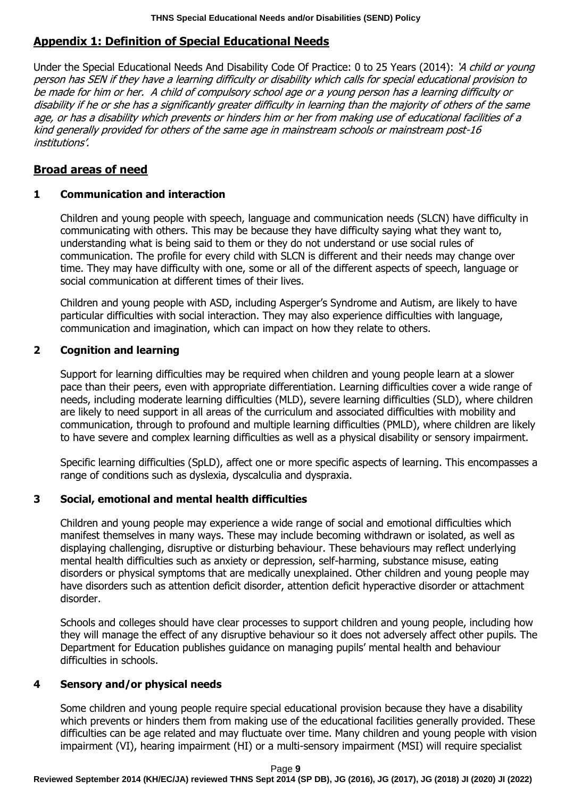## **Appendix 1: Definition of Special Educational Needs**

Under the Special Educational Needs And Disability Code Of Practice: 0 to 25 Years (2014): 'A child or young person has SEN if they have a learning difficulty or disability which calls for special educational provision to be made for him or her. A child of compulsory school age or a young person has a learning difficulty or disability if he or she has a significantly greater difficulty in learning than the majority of others of the same age, or has a disability which prevents or hinders him or her from making use of educational facilities of a kind generally provided for others of the same age in mainstream schools or mainstream post-16 institutions'.

## **Broad areas of need**

#### **1 Communication and interaction**

Children and young people with speech, language and communication needs (SLCN) have difficulty in communicating with others. This may be because they have difficulty saying what they want to, understanding what is being said to them or they do not understand or use social rules of communication. The profile for every child with SLCN is different and their needs may change over time. They may have difficulty with one, some or all of the different aspects of speech, language or social communication at different times of their lives.

Children and young people with ASD, including Asperger's Syndrome and Autism, are likely to have particular difficulties with social interaction. They may also experience difficulties with language, communication and imagination, which can impact on how they relate to others.

#### **2 Cognition and learning**

Support for learning difficulties may be required when children and young people learn at a slower pace than their peers, even with appropriate differentiation. Learning difficulties cover a wide range of needs, including moderate learning difficulties (MLD), severe learning difficulties (SLD), where children are likely to need support in all areas of the curriculum and associated difficulties with mobility and communication, through to profound and multiple learning difficulties (PMLD), where children are likely to have severe and complex learning difficulties as well as a physical disability or sensory impairment.

Specific learning difficulties (SpLD), affect one or more specific aspects of learning. This encompasses a range of conditions such as dyslexia, dyscalculia and dyspraxia.

#### **3 Social, emotional and mental health difficulties**

Children and young people may experience a wide range of social and emotional difficulties which manifest themselves in many ways. These may include becoming withdrawn or isolated, as well as displaying challenging, disruptive or disturbing behaviour. These behaviours may reflect underlying mental health difficulties such as anxiety or depression, self-harming, substance misuse, eating disorders or physical symptoms that are medically unexplained. Other children and young people may have disorders such as attention deficit disorder, attention deficit hyperactive disorder or attachment disorder.

Schools and colleges should have clear processes to support children and young people, including how they will manage the effect of any disruptive behaviour so it does not adversely affect other pupils. The Department for Education publishes guidance on managing pupils' mental health and behaviour difficulties in schools.

#### **4 Sensory and/or physical needs**

Some children and young people require special educational provision because they have a disability which prevents or hinders them from making use of the educational facilities generally provided. These difficulties can be age related and may fluctuate over time. Many children and young people with vision impairment (VI), hearing impairment (HI) or a multi-sensory impairment (MSI) will require specialist

#### Page **9**

**Reviewed September 2014 (KH/EC/JA) reviewed THNS Sept 2014 (SP DB), JG (2016), JG (2017), JG (2018) JI (2020) JI (2022)**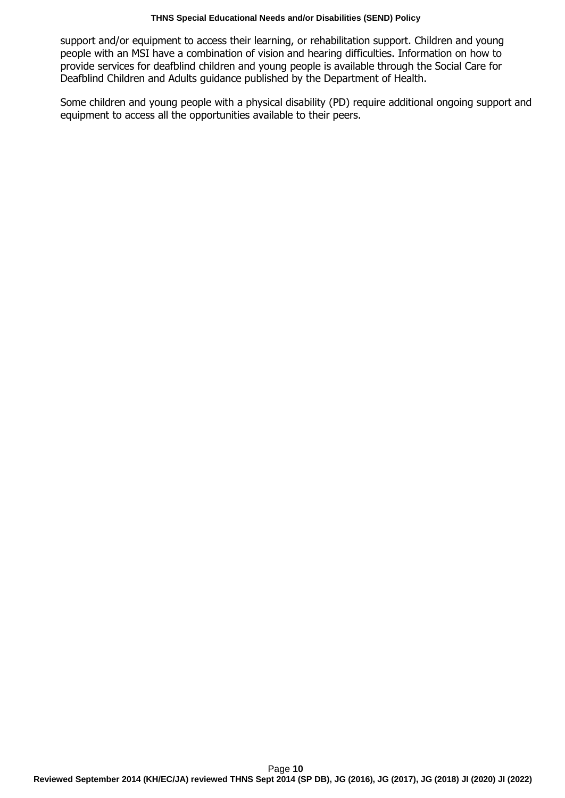support and/or equipment to access their learning, or rehabilitation support. Children and young people with an MSI have a combination of vision and hearing difficulties. Information on how to provide services for deafblind children and young people is available through the Social Care for Deafblind Children and Adults guidance published by the Department of Health.

Some children and young people with a physical disability (PD) require additional ongoing support and equipment to access all the opportunities available to their peers.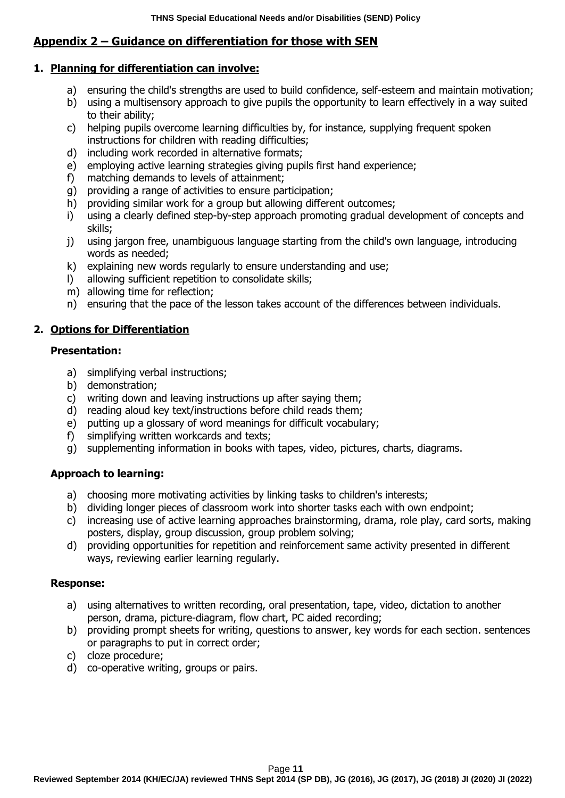## **Appendix 2 – Guidance on differentiation for those with SEN**

#### **1. Planning for differentiation can involve:**

- a) ensuring the child's strengths are used to build confidence, self-esteem and maintain motivation;
- b) using a multisensory approach to give pupils the opportunity to learn effectively in a way suited to their ability;
- c) helping pupils overcome learning difficulties by, for instance, supplying frequent spoken instructions for children with reading difficulties;
- d) including work recorded in alternative formats;
- e) employing active learning strategies giving pupils first hand experience;
- f) matching demands to levels of attainment;
- g) providing a range of activities to ensure participation;
- h) providing similar work for a group but allowing different outcomes;
- i) using a clearly defined step-by-step approach promoting gradual development of concepts and skills;
- j) using jargon free, unambiguous language starting from the child's own language, introducing words as needed;
- k) explaining new words regularly to ensure understanding and use;
- l) allowing sufficient repetition to consolidate skills;
- m) allowing time for reflection;
- n) ensuring that the pace of the lesson takes account of the differences between individuals.

## **2. Options for Differentiation**

#### **Presentation:**

- a) simplifying verbal instructions;
- b) demonstration;
- c) writing down and leaving instructions up after saying them;
- d) reading aloud key text/instructions before child reads them;
- e) putting up a glossary of word meanings for difficult vocabulary;
- f) simplifying written workcards and texts;
- g) supplementing information in books with tapes, video, pictures, charts, diagrams.

## **Approach to learning:**

- a) choosing more motivating activities by linking tasks to children's interests;
- b) dividing longer pieces of classroom work into shorter tasks each with own endpoint;
- c) increasing use of active learning approaches brainstorming, drama, role play, card sorts, making posters, display, group discussion, group problem solving;
- d) providing opportunities for repetition and reinforcement same activity presented in different ways, reviewing earlier learning regularly.

#### **Response:**

- a) using alternatives to written recording, oral presentation, tape, video, dictation to another person, drama, picture-diagram, flow chart, PC aided recording;
- b) providing prompt sheets for writing, questions to answer, key words for each section. sentences or paragraphs to put in correct order;
- c) cloze procedure;
- d) co-operative writing, groups or pairs.